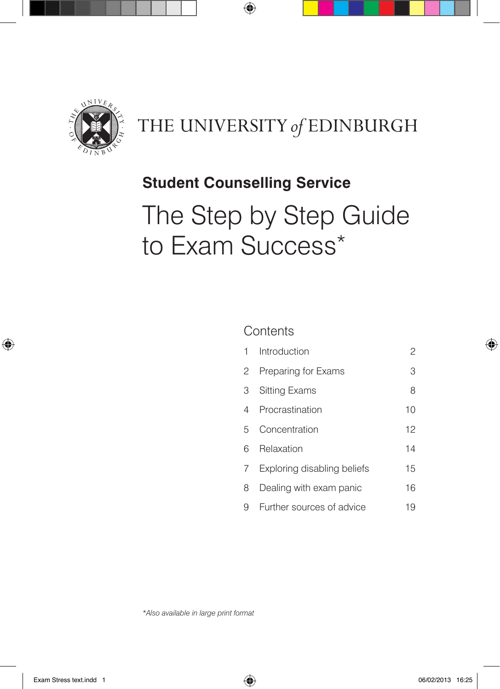

## THE UNIVERSITY of EDINBURGH

## **Student Counselling Service**

 $\bigoplus$ 

# The Step by Step Guide to Exam Success\*

### **Contents**

| 1 | Introduction                | 2  |
|---|-----------------------------|----|
| 2 | Preparing for Exams         | 3  |
| 3 | <b>Sitting Exams</b>        | 8  |
| 4 | Procrastination             | 10 |
| 5 | Concentration               | 12 |
| ൳ | Relaxation                  | 14 |
| 7 | Exploring disabling beliefs | 15 |
| 8 | Dealing with exam panic     | 16 |
| 9 | Further sources of advice   | 19 |

*\*Also available in large print format*

⊕

♠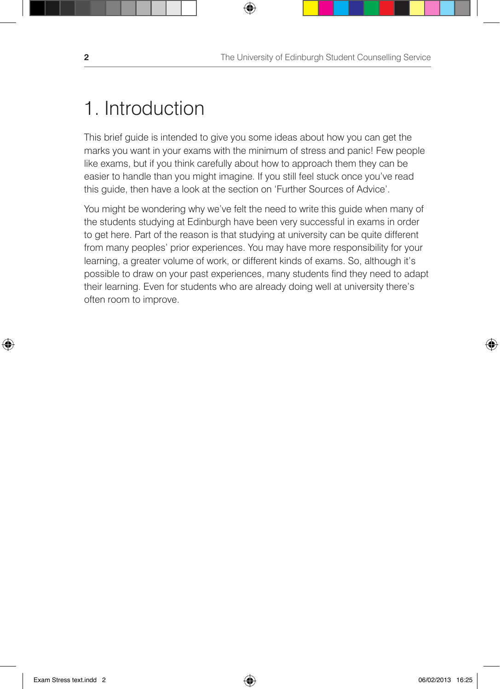## 1. Introduction

This brief guide is intended to give you some ideas about how you can get the marks you want in your exams with the minimum of stress and panic! Few people like exams, but if you think carefully about how to approach them they can be easier to handle than you might imagine. If you still feel stuck once you've read this guide, then have a look at the section on 'Further Sources of Advice'.

 $\bigcirc$ 

You might be wondering why we've felt the need to write this guide when many of the students studying at Edinburgh have been very successful in exams in order to get here. Part of the reason is that studying at university can be quite different from many peoples' prior experiences. You may have more responsibility for your learning, a greater volume of work, or different kinds of exams. So, although it's possible to draw on your past experiences, many students find they need to adapt their learning. Even for students who are already doing well at university there's often room to improve.

⊕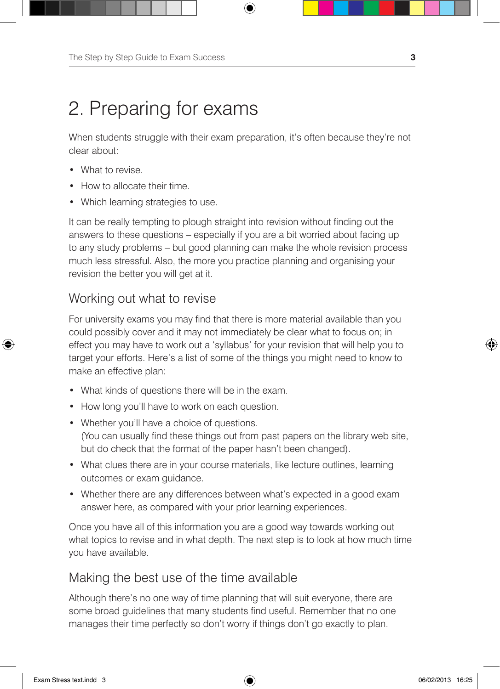When students struggle with their exam preparation, it's often because they're not clear about:

⊕

• What to revise.

↔

- **How to allocate their time.**
- Which learning strategies to use.

It can be really tempting to plough straight into revision without finding out the answers to these questions – especially if you are a bit worried about facing up to any study problems – but good planning can make the whole revision process much less stressful. Also, the more you practice planning and organising your revision the better you will get at it.

### Working out what to revise

For university exams you may find that there is more material available than you could possibly cover and it may not immediately be clear what to focus on; in effect you may have to work out a 'syllabus' for your revision that will help you to target your efforts. Here's a list of some of the things you might need to know to make an effective plan:

- What kinds of questions there will be in the exam.
- How long you'll have to work on each question.
- Whether you'll have a choice of questions. (You can usually find these things out from past papers on the library web site, but do check that the format of the paper hasn't been changed).
- What clues there are in your course materials, like lecture outlines, learning outcomes or exam guidance.
- Whether there are any differences between what's expected in a good exam answer here, as compared with your prior learning experiences.

Once you have all of this information you are a good way towards working out what topics to revise and in what depth. The next step is to look at how much time you have available.

### Making the best use of the time available

Although there's no one way of time planning that will suit everyone, there are some broad guidelines that many students find useful. Remember that no one manages their time perfectly so don't worry if things don't go exactly to plan.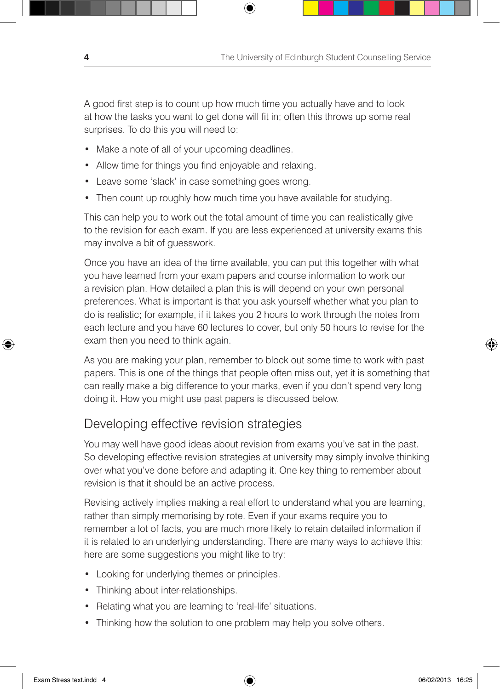A good first step is to count up how much time you actually have and to look at how the tasks you want to get done will fit in; often this throws up some real surprises. To do this you will need to:

₩

- Make a note of all of your upcoming deadlines.
- Allow time for things you find enjoyable and relaxing.
- Leave some 'slack' in case something goes wrong.
- Then count up roughly how much time you have available for studying.

This can help you to work out the total amount of time you can realistically give to the revision for each exam. If you are less experienced at university exams this may involve a bit of guesswork.

Once you have an idea of the time available, you can put this together with what you have learned from your exam papers and course information to work our a revision plan. How detailed a plan this is will depend on your own personal preferences. What is important is that you ask yourself whether what you plan to do is realistic; for example, if it takes you 2 hours to work through the notes from each lecture and you have 60 lectures to cover, but only 50 hours to revise for the exam then you need to think again.

As you are making your plan, remember to block out some time to work with past papers. This is one of the things that people often miss out, yet it is something that can really make a big difference to your marks, even if you don't spend very long doing it. How you might use past papers is discussed below.

### Developing effective revision strategies

You may well have good ideas about revision from exams you've sat in the past. So developing effective revision strategies at university may simply involve thinking over what you've done before and adapting it. One key thing to remember about revision is that it should be an active process.

Revising actively implies making a real effort to understand what you are learning, rather than simply memorising by rote. Even if your exams require you to remember a lot of facts, you are much more likely to retain detailed information if it is related to an underlying understanding. There are many ways to achieve this; here are some suggestions you might like to try:

- Looking for underlying themes or principles.
- Thinking about inter-relationships.
- Relating what you are learning to 'real-life' situations.
- Thinking how the solution to one problem may help you solve others.

♠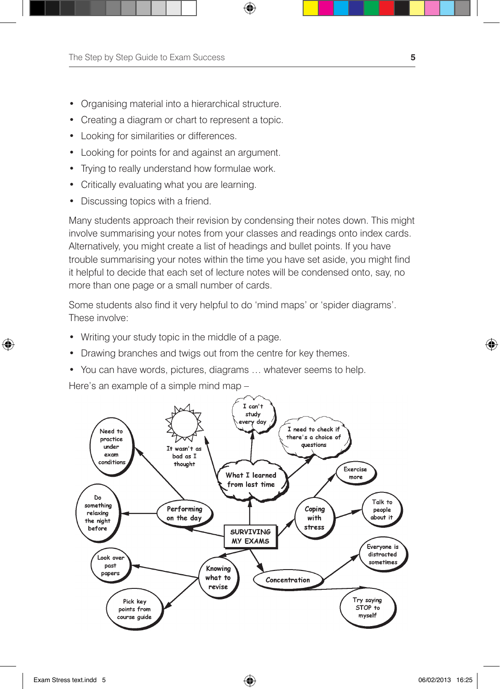- Organising material into a hierarchical structure.
- Creating a diagram or chart to represent a topic.
- • Looking for similarities or differences.
- • Looking for points for and against an argument.
- Trying to really understand how formulae work.
- Critically evaluating what you are learning.
- Discussing topics with a friend.

Many students approach their revision by condensing their notes down. This might involve summarising your notes from your classes and readings onto index cards. Alternatively, you might create a list of headings and bullet points. If you have trouble summarising your notes within the time you have set aside, you might find it helpful to decide that each set of lecture notes will be condensed onto, say, no more than one page or a small number of cards.

 $\bigoplus$ 

Some students also find it very helpful to do 'mind maps' or 'spider diagrams'. These involve:

- Writing your study topic in the middle of a page.
- Drawing branches and twigs out from the centre for key themes.
- You can have words, pictures, diagrams ... whatever seems to help.

Here's an example of a simple mind map –



⊕

♠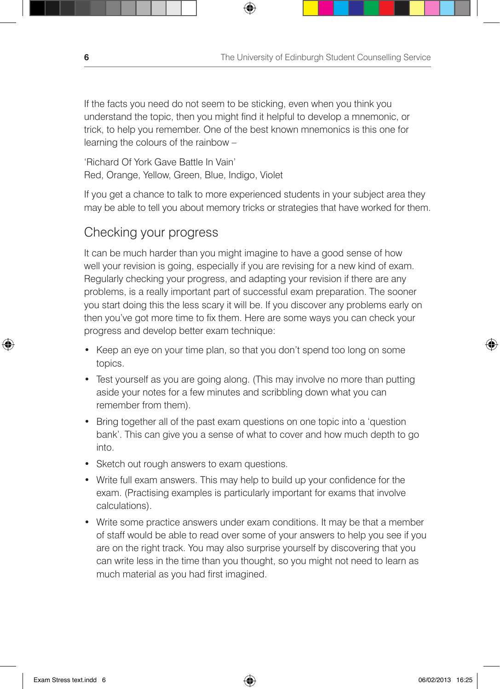If the facts you need do not seem to be sticking, even when you think you understand the topic, then you might find it helpful to develop a mnemonic, or trick, to help you remember. One of the best known mnemonics is this one for learning the colours of the rainbow –

⊕

'Richard Of York Gave Battle In Vain' Red, Orange, Yellow, Green, Blue, Indigo, Violet

If you get a chance to talk to more experienced students in your subject area they may be able to tell you about memory tricks or strategies that have worked for them.

### Checking your progress

It can be much harder than you might imagine to have a good sense of how well your revision is going, especially if you are revising for a new kind of exam. Regularly checking your progress, and adapting your revision if there are any problems, is a really important part of successful exam preparation. The sooner you start doing this the less scary it will be. If you discover any problems early on then you've got more time to fix them. Here are some ways you can check your progress and develop better exam technique:

- Keep an eye on your time plan, so that you don't spend too long on some topics.
- Test yourself as you are going along. (This may involve no more than putting aside your notes for a few minutes and scribbling down what you can remember from them).
- Bring together all of the past exam questions on one topic into a 'question' bank'. This can give you a sense of what to cover and how much depth to go into.
- Sketch out rough answers to exam questions.
- • Write full exam answers. This may help to build up your confidence for the exam. (Practising examples is particularly important for exams that involve calculations).
- Write some practice answers under exam conditions. It may be that a member of staff would be able to read over some of your answers to help you see if you are on the right track. You may also surprise yourself by discovering that you can write less in the time than you thought, so you might not need to learn as much material as you had first imagined.

⊕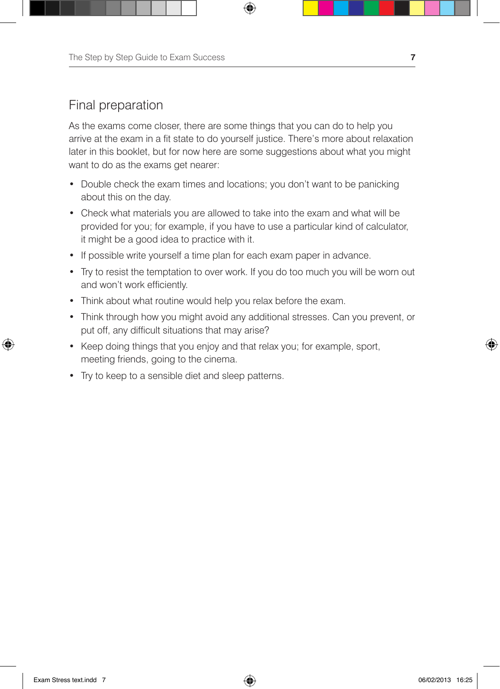The Step by Step Guide to Exam Success **7**

### Final preparation

As the exams come closer, there are some things that you can do to help you arrive at the exam in a fit state to do yourself justice. There's more about relaxation later in this booklet, but for now here are some suggestions about what you might want to do as the exams get nearer:

⊕

- Double check the exam times and locations; you don't want to be panicking about this on the day.
- Check what materials you are allowed to take into the exam and what will be provided for you; for example, if you have to use a particular kind of calculator, it might be a good idea to practice with it.
- If possible write yourself a time plan for each exam paper in advance.
- Try to resist the temptation to over work. If you do too much you will be worn out and won't work efficiently.
- Think about what routine would help you relax before the exam.
- Think through how you might avoid any additional stresses. Can you prevent, or put off, any difficult situations that may arise?
- Keep doing things that you enjoy and that relax you; for example, sport, meeting friends, going to the cinema.
- Try to keep to a sensible diet and sleep patterns.

↔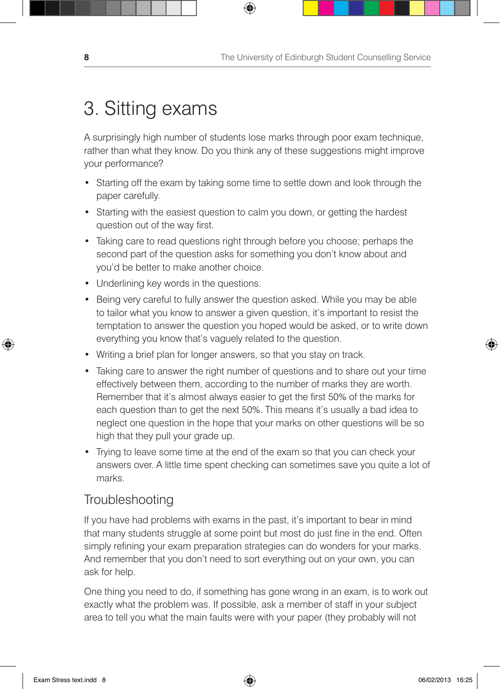## 3. Sitting exams

A surprisingly high number of students lose marks through poor exam technique, rather than what they know. Do you think any of these suggestions might improve your performance?

 $\bigoplus$ 

- Starting off the exam by taking some time to settle down and look through the paper carefully.
- Starting with the easiest question to calm you down, or getting the hardest question out of the way first.
- Taking care to read questions right through before you choose; perhaps the second part of the question asks for something you don't know about and you'd be better to make another choice.
- Underlining key words in the questions.
- Being very careful to fully answer the question asked. While you may be able to tailor what you know to answer a given question, it's important to resist the temptation to answer the question you hoped would be asked, or to write down everything you know that's vaguely related to the question.
- Writing a brief plan for longer answers, so that you stay on track.
- Taking care to answer the right number of questions and to share out your time effectively between them, according to the number of marks they are worth. Remember that it's almost always easier to get the first 50% of the marks for each question than to get the next 50%. This means it's usually a bad idea to neglect one question in the hope that your marks on other questions will be so high that they pull your grade up.
- Trying to leave some time at the end of the exam so that you can check your answers over. A little time spent checking can sometimes save you quite a lot of marks.

### **Troubleshooting**

If you have had problems with exams in the past, it's important to bear in mind that many students struggle at some point but most do just fine in the end. Often simply refining your exam preparation strategies can do wonders for your marks. And remember that you don't need to sort everything out on your own, you can ask for help.

One thing you need to do, if something has gone wrong in an exam, is to work out exactly what the problem was. If possible, ask a member of staff in your subject area to tell you what the main faults were with your paper (they probably will not

↔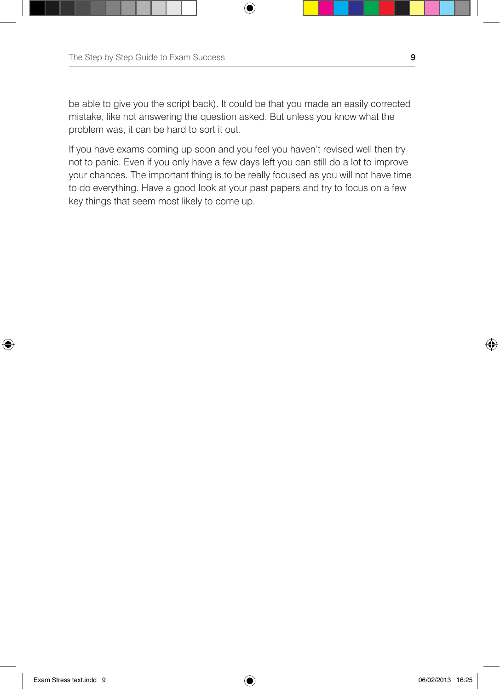be able to give you the script back). It could be that you made an easily corrected mistake, like not answering the question asked. But unless you know what the problem was, it can be hard to sort it out.

 $\bigoplus$ 

If you have exams coming up soon and you feel you haven't revised well then try not to panic. Even if you only have a few days left you can still do a lot to improve your chances. The important thing is to be really focused as you will not have time to do everything. Have a good look at your past papers and try to focus on a few key things that seem most likely to come up.

⊕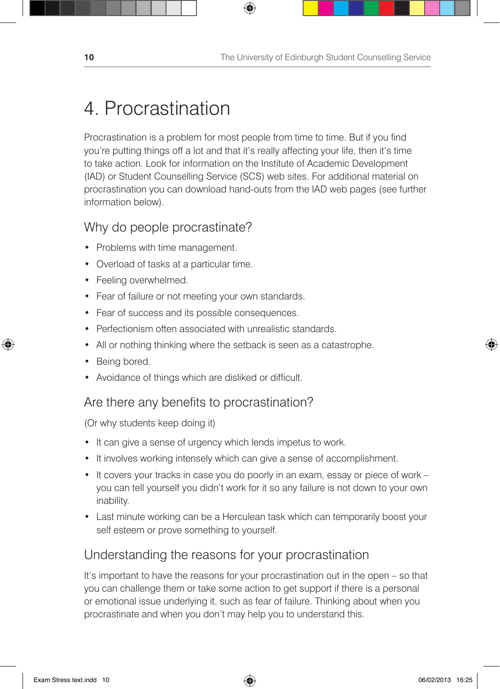## 4. Procrastination

Procrastination is a problem for most people from time to time. But if you find you're putting things off a lot and that it's really affecting your life, then it's time to take action. Look for information on the Institute of Academic Development (IAD) or Student Counselling Service (SCS) web sites. For additional material on procrastination you can download hand-outs from the IAD web pages (see further information below).

⊕

### Why do people procrastinate?

- Problems with time management.
- • Overload of tasks at a particular time.
- Feeling overwhelmed.
- Fear of failure or not meeting your own standards.
- Fear of success and its possible consequences.
- Perfectionism often associated with unrealistic standards.
- All or nothing thinking where the setback is seen as a catastrophe.
- Being bored.

 $\leftrightarrow$ 

• Avoidance of things which are disliked or difficult.

### Are there any benefits to procrastination?

(Or why students keep doing it)

- It can give a sense of urgency which lends impetus to work.
- It involves working intensely which can give a sense of accomplishment.
- It covers your tracks in case you do poorly in an exam, essay or piece of work you can tell yourself you didn't work for it so any failure is not down to your own inability.
- Last minute working can be a Herculean task which can temporarily boost your self esteem or prove something to yourself.

### Understanding the reasons for your procrastination

It's important to have the reasons for your procrastination out in the open – so that you can challenge them or take some action to get support if there is a personal or emotional issue underlying it, such as fear of failure. Thinking about when you procrastinate and when you don't may help you to understand this.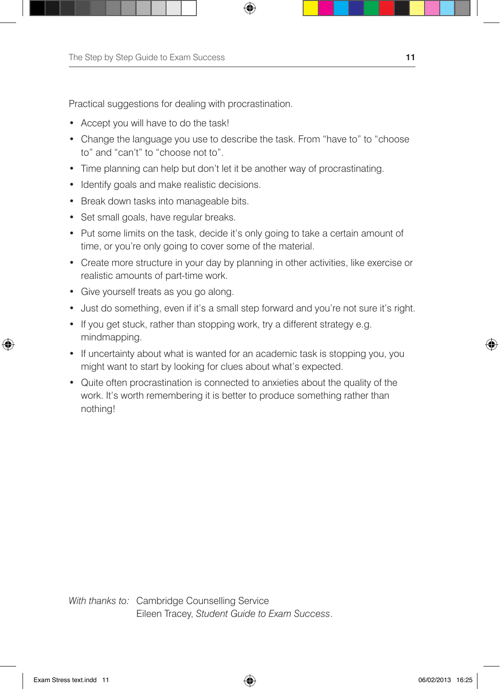Practical suggestions for dealing with procrastination.

- Accept you will have to do the task!
- Change the language you use to describe the task. From "have to" to "choose to" and "can't" to "choose not to".

₩

- Time planning can help but don't let it be another way of procrastinating.
- Identify goals and make realistic decisions.
- Break down tasks into manageable bits.
- Set small goals, have regular breaks.
- Put some limits on the task, decide it's only going to take a certain amount of time, or you're only going to cover some of the material.
- Create more structure in your day by planning in other activities, like exercise or realistic amounts of part-time work.
- Give yourself treats as you go along.
- Just do something, even if it's a small step forward and you're not sure it's right.
- If you get stuck, rather than stopping work, try a different strategy e.g. mindmapping.
- If uncertainty about what is wanted for an academic task is stopping you, you might want to start by looking for clues about what's expected.
- Quite often procrastination is connected to anxieties about the quality of the work. It's worth remembering it is better to produce something rather than nothing!

*With thanks to:* Cambridge Counselling Service Eileen Tracey, *Student Guide to Exam Success*.

⊕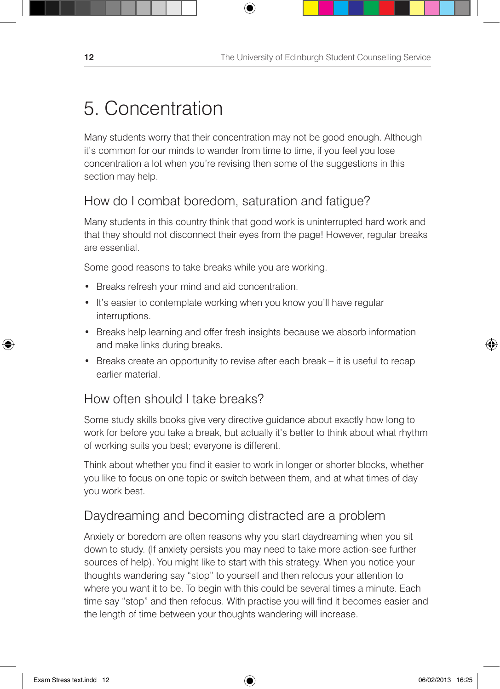## 5. Concentration

Many students worry that their concentration may not be good enough. Although it's common for our minds to wander from time to time, if you feel you lose concentration a lot when you're revising then some of the suggestions in this section may help.

 $\bigoplus$ 

### How do I combat boredom, saturation and fatigue?

Many students in this country think that good work is uninterrupted hard work and that they should not disconnect their eyes from the page! However, regular breaks are essential.

Some good reasons to take breaks while you are working.

- Breaks refresh your mind and aid concentration.
- It's easier to contemplate working when you know you'll have regular interruptions.
- Breaks help learning and offer fresh insights because we absorb information and make links during breaks.
- Breaks create an opportunity to revise after each break it is useful to recap earlier material.

### How often should I take breaks?

Some study skills books give very directive guidance about exactly how long to work for before you take a break, but actually it's better to think about what rhythm of working suits you best; everyone is different.

Think about whether you find it easier to work in longer or shorter blocks, whether you like to focus on one topic or switch between them, and at what times of day you work best.

### Daydreaming and becoming distracted are a problem

Anxiety or boredom are often reasons why you start daydreaming when you sit down to study. (If anxiety persists you may need to take more action-see further sources of help). You might like to start with this strategy. When you notice your thoughts wandering say "stop" to yourself and then refocus your attention to where you want it to be. To begin with this could be several times a minute. Each time say "stop" and then refocus. With practise you will find it becomes easier and the length of time between your thoughts wandering will increase.

↔

♠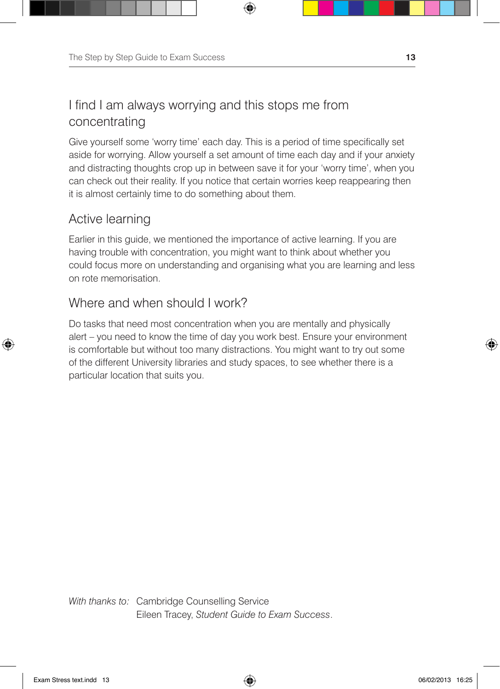## I find I am always worrying and this stops me from concentrating

Give yourself some 'worry time' each day. This is a period of time specifically set aside for worrying. Allow yourself a set amount of time each day and if your anxiety and distracting thoughts crop up in between save it for your 'worry time', when you can check out their reality. If you notice that certain worries keep reappearing then it is almost certainly time to do something about them.

⊕

### Active learning

⊕

Earlier in this guide, we mentioned the importance of active learning. If you are having trouble with concentration, you might want to think about whether you could focus more on understanding and organising what you are learning and less on rote memorisation.

### Where and when should I work?

Do tasks that need most concentration when you are mentally and physically alert – you need to know the time of day you work best. Ensure your environment is comfortable but without too many distractions. You might want to try out some of the different University libraries and study spaces, to see whether there is a particular location that suits you.

*With thanks to:* Cambridge Counselling Service Eileen Tracey, *Student Guide to Exam Success*.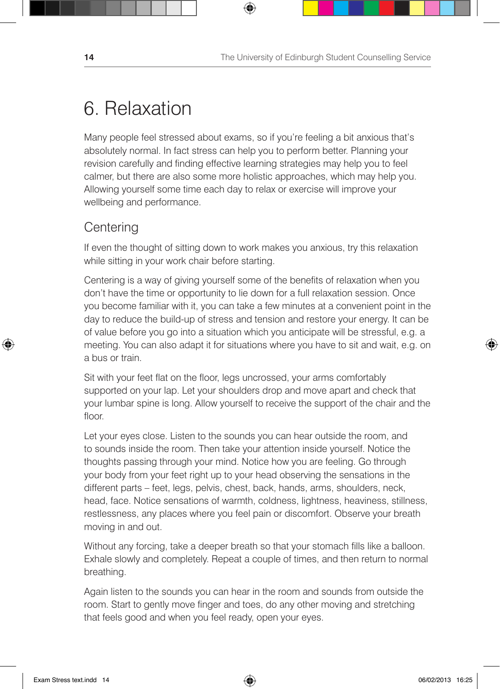## 6. Relaxation

Many people feel stressed about exams, so if you're feeling a bit anxious that's absolutely normal. In fact stress can help you to perform better. Planning your revision carefully and finding effective learning strategies may help you to feel calmer, but there are also some more holistic approaches, which may help you. Allowing yourself some time each day to relax or exercise will improve your wellbeing and performance.

⊕

### **Centering**

⊕

If even the thought of sitting down to work makes you anxious, try this relaxation while sitting in your work chair before starting.

Centering is a way of giving yourself some of the benefits of relaxation when you don't have the time or opportunity to lie down for a full relaxation session. Once you become familiar with it, you can take a few minutes at a convenient point in the day to reduce the build-up of stress and tension and restore your energy. It can be of value before you go into a situation which you anticipate will be stressful, e.g. a meeting. You can also adapt it for situations where you have to sit and wait, e.g. on a bus or train.

Sit with your feet flat on the floor, legs uncrossed, your arms comfortably supported on your lap. Let your shoulders drop and move apart and check that your lumbar spine is long. Allow yourself to receive the support of the chair and the floor.

Let your eyes close. Listen to the sounds you can hear outside the room, and to sounds inside the room. Then take your attention inside yourself. Notice the thoughts passing through your mind. Notice how you are feeling. Go through your body from your feet right up to your head observing the sensations in the different parts – feet, legs, pelvis, chest, back, hands, arms, shoulders, neck, head, face. Notice sensations of warmth, coldness, lightness, heaviness, stillness, restlessness, any places where you feel pain or discomfort. Observe your breath moving in and out.

Without any forcing, take a deeper breath so that your stomach fills like a balloon. Exhale slowly and completely. Repeat a couple of times, and then return to normal breathing.

Again listen to the sounds you can hear in the room and sounds from outside the room. Start to gently move finger and toes, do any other moving and stretching that feels good and when you feel ready, open your eyes.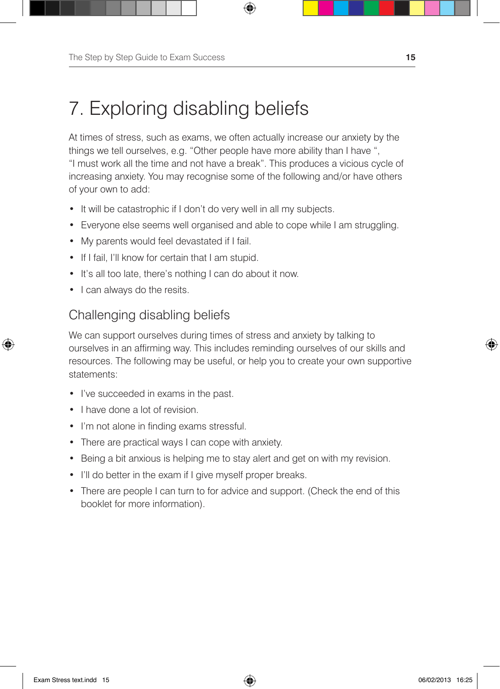## 7. Exploring disabling beliefs

At times of stress, such as exams, we often actually increase our anxiety by the things we tell ourselves, e.g. "Other people have more ability than I have ", "I must work all the time and not have a break". This produces a vicious cycle of increasing anxiety. You may recognise some of the following and/or have others of your own to add:

⊕

- It will be catastrophic if I don't do very well in all my subjects.
- Everyone else seems well organised and able to cope while I am struggling.
- My parents would feel devastated if I fail.
- If I fail, I'll know for certain that I am stupid.
- It's all too late, there's nothing I can do about it now.
- I can always do the resits.

### Challenging disabling beliefs

We can support ourselves during times of stress and anxiety by talking to ourselves in an affirming way. This includes reminding ourselves of our skills and resources. The following may be useful, or help you to create your own supportive statements:

- • I've succeeded in exams in the past.
- I have done a lot of revision.
- I'm not alone in finding exams stressful.
- There are practical ways I can cope with anxiety.
- Being a bit anxious is helping me to stay alert and get on with my revision.
- I'll do better in the exam if I give myself proper breaks.
- There are people I can turn to for advice and support. (Check the end of this booklet for more information).

⊕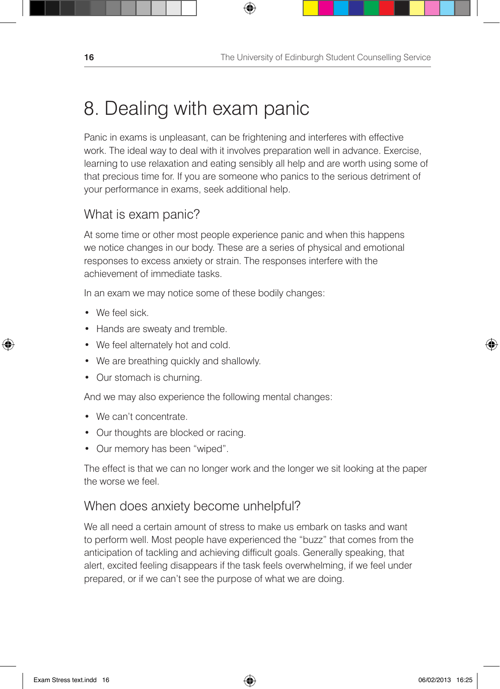## 8. Dealing with exam panic

Panic in exams is unpleasant, can be frightening and interferes with effective work. The ideal way to deal with it involves preparation well in advance. Exercise, learning to use relaxation and eating sensibly all help and are worth using some of that precious time for. If you are someone who panics to the serious detriment of your performance in exams, seek additional help.

⊕

### What is exam panic?

At some time or other most people experience panic and when this happens we notice changes in our body. These are a series of physical and emotional responses to excess anxiety or strain. The responses interfere with the achievement of immediate tasks.

In an exam we may notice some of these bodily changes:

• We feel sick.

↔

- Hands are sweaty and tremble.
- We feel alternately hot and cold.
- We are breathing quickly and shallowly.
- Our stomach is churning.

And we may also experience the following mental changes:

- We can't concentrate.
- Our thoughts are blocked or racing.
- • Our memory has been "wiped".

The effect is that we can no longer work and the longer we sit looking at the paper the worse we feel.

### When does anxiety become unhelpful?

We all need a certain amount of stress to make us embark on tasks and want to perform well. Most people have experienced the "buzz" that comes from the anticipation of tackling and achieving difficult goals. Generally speaking, that alert, excited feeling disappears if the task feels overwhelming, if we feel under prepared, or if we can't see the purpose of what we are doing.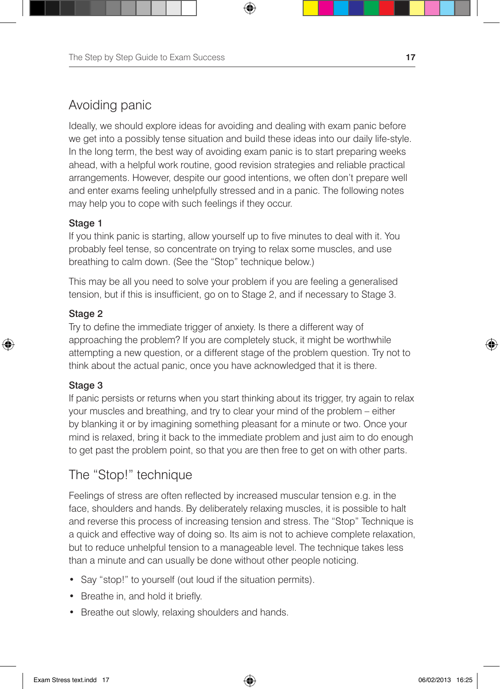## Avoiding panic

Ideally, we should explore ideas for avoiding and dealing with exam panic before we get into a possibly tense situation and build these ideas into our daily life-style. In the long term, the best way of avoiding exam panic is to start preparing weeks ahead, with a helpful work routine, good revision strategies and reliable practical arrangements. However, despite our good intentions, we often don't prepare well and enter exams feeling unhelpfully stressed and in a panic. The following notes may help you to cope with such feelings if they occur.

⊕

#### Stage 1

If you think panic is starting, allow yourself up to five minutes to deal with it. You probably feel tense, so concentrate on trying to relax some muscles, and use breathing to calm down. (See the "Stop" technique below.)

This may be all you need to solve your problem if you are feeling a generalised tension, but if this is insufficient, go on to Stage 2, and if necessary to Stage 3.

#### Stage 2

⊕

Try to define the immediate trigger of anxiety. Is there a different way of approaching the problem? If you are completely stuck, it might be worthwhile attempting a new question, or a different stage of the problem question. Try not to think about the actual panic, once you have acknowledged that it is there.

#### Stage 3

If panic persists or returns when you start thinking about its trigger, try again to relax your muscles and breathing, and try to clear your mind of the problem – either by blanking it or by imagining something pleasant for a minute or two. Once your mind is relaxed, bring it back to the immediate problem and just aim to do enough to get past the problem point, so that you are then free to get on with other parts.

### The "Stop!" technique

Feelings of stress are often reflected by increased muscular tension e.g. in the face, shoulders and hands. By deliberately relaxing muscles, it is possible to halt and reverse this process of increasing tension and stress. The "Stop" Technique is a quick and effective way of doing so. Its aim is not to achieve complete relaxation, but to reduce unhelpful tension to a manageable level. The technique takes less than a minute and can usually be done without other people noticing.

- Say "stop!" to yourself (out loud if the situation permits).
- Breathe in, and hold it briefly.
- Breathe out slowly, relaxing shoulders and hands.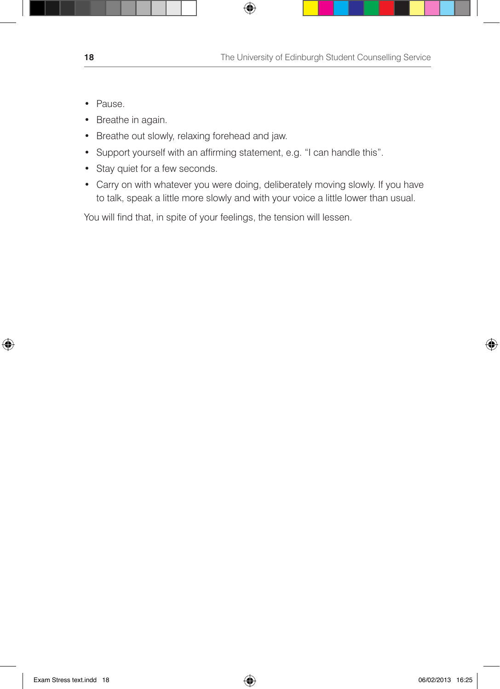- Pause.
- Breathe in again.
- Breathe out slowly, relaxing forehead and jaw.
- Support yourself with an affirming statement, e.g. "I can handle this".
- Stay quiet for a few seconds.
- Carry on with whatever you were doing, deliberately moving slowly. If you have to talk, speak a little more slowly and with your voice a little lower than usual.

 $\bigoplus$ 

You will find that, in spite of your feelings, the tension will lessen.

⊕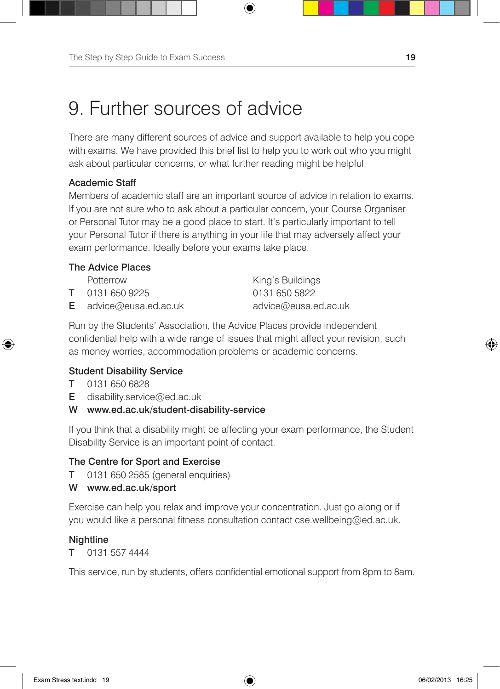## 9. Further sources of advice

There are many different sources of advice and support available to help you cope with exams. We have provided this brief list to help you to work out who you might ask about particular concerns, or what further reading might be helpful.

⊕

#### Academic Staff

Members of academic staff are an important source of advice in relation to exams. If you are not sure who to ask about a particular concern, your Course Organiser or Personal Tutor may be a good place to start. It's particularly important to tell your Personal Tutor if there is anything in your life that may adversely affect your exam performance. Ideally before your exams take place.

#### The Advice Places

| Potterrow                     | King's Buildings     |
|-------------------------------|----------------------|
| <b>T</b> 0131 650 9225        | 0131 650 5822        |
| <b>E</b> advice@eusa.ed.ac.uk | advice@eusa.ed.ac.uk |

Run by the Students' Association, the Advice Places provide independent confidential help with a wide range of issues that might affect your revision, such as money worries, accommodation problems or academic concerns.

#### Student Disability Service

T 0131 650 6828

↔

- **E** disability.service@ed.ac.uk
- W www.ed.ac.uk/student-disability-service

If you think that a disability might be affecting your exam performance, the Student Disability Service is an important point of contact.

#### The Centre for Sport and Exercise

- T 0131 650 2585 (general enquiries)
- W www.ed.ac.uk/sport

Exercise can help you relax and improve your concentration. Just go along or if you would like a personal fitness consultation contact cse.wellbeing@ed.ac.uk.

#### **Nightline**

T 0131 557 4444

This service, run by students, offers confidential emotional support from 8pm to 8am.